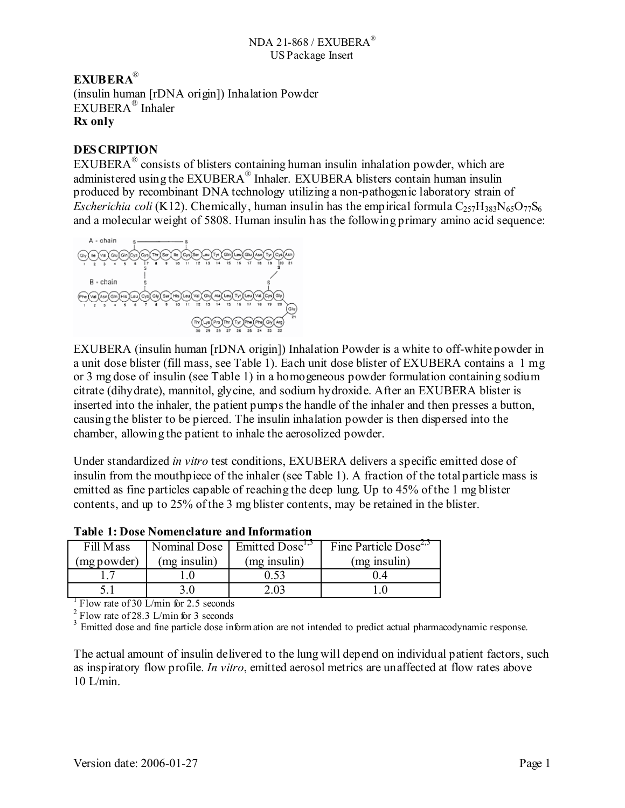## **EXUBERA**® (insulin human [rDNA origin]) Inhalation Powder EXUBERA® Inhaler **Rx only**

## **DESCRIPTION**

EXUBERA® consists of blisters containing human insulin inhalation powder, which are administered using the EXUBERA<sup>®</sup> Inhaler. EXUBERA blisters contain human insulin produced by recombinant DNA technology utilizing a non-pathogenic laboratory strain of *Escherichia coli* (K12). Chemically, human insulin has the empirical formula  $C_{257}H_{383}N_{65}O_{77}S_6$ and a molecular weight of 5808. Human insulin has the following primary amino acid sequence:



EXUBERA (insulin human [rDNA origin]) Inhalation Powder is a white to off-white powder in a unit dose blister (fill mass, see Table 1). Each unit dose blister of EXUBERA contains a 1 mg or 3 mg dose of insulin (see Table 1) in a homogeneous powder formulation containing sodium citrate (dihydrate), mannitol, glycine, and sodium hydroxide. After an EXUBERA blister is inserted into the inhaler, the patient pumps the handle of the inhaler and then presses a button, causing the blister to be pierced. The insulin inhalation powder is then dispersed into the chamber, allowing the patient to inhale the aerosolized powder.

Under standardized *in vitro* test conditions, EXUBERA delivers a specific emitted dose of insulin from the mouthpiece of the inhaler (see Table 1). A fraction of the total particle mass is emitted as fine particles capable of reaching the deep lung. Up to 45% of the 1 mg blister contents, and up to 25% of the 3 mg blister contents, may be retained in the blister.

| Fill Mass   |              | Nominal Dose   Emitted Dose <sup>1,5</sup> | Fine Particle Dose <sup><math>2,3</math></sup> |
|-------------|--------------|--------------------------------------------|------------------------------------------------|
| (mg powder) | (mg insulin) | (mg insulin)                               | (mg insulin)                                   |
|             |              | 0.53                                       |                                                |
|             |              |                                            |                                                |

**Table 1: Dose Nomenclature and Information** 

<sup>1</sup> Flow rate of 30 L/min for 2.5 seconds

 $^{2}$  Flow rate of 28.3 L/min for 3 seconds

<sup>3</sup> Emitted dose and fine particle dose information are not intended to predict actual pharmacodynamic response.

The actual amount of insulin delivered to the lung will depend on individual patient factors, such as inspiratory flow profile. *In vitro*, emitted aerosol metrics are unaffected at flow rates above  $10$  L/min.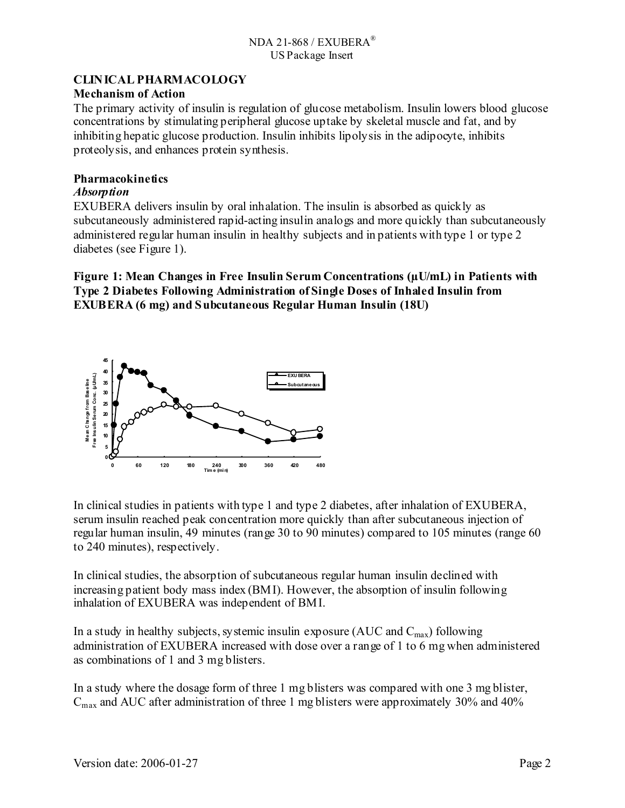## **CLINICAL PHARMACOLOGY**

### **Mechanism of Action**

The primary activity of insulin is regulation of glucose metabolism. Insulin lowers blood glucose concentrations by stimulating peripheral glucose uptake by skeletal muscle and fat, and by inhibiting hepatic glucose production. Insulin inhibits lipolysis in the adipocyte, inhibits proteolysis, and enhances protein synthesis.

### **Pharmacokinetics**

### *Absorption*

EXUBERA delivers insulin by oral inhalation. The insulin is absorbed as quickly as subcutaneously administered rapid-acting insulin analogs and more quickly than subcutaneously administered regular human insulin in healthy subjects and in patients with type 1 or type 2 diabetes (see Figure 1).

## **Figure 1: Mean Changes in Free Insulin Serum Concentrations (µU/mL) in Patients with Type 2 Diabetes Following Administration of Single Doses of Inhaled Insulin from EXUBERA (6 mg) and Subcutaneous Regular Human Insulin (18U)**



In clinical studies in patients with type 1 and type 2 diabetes, after inhalation of EXUBERA, serum insulin reached peak concentration more quickly than after subcutaneous injection of regular human insulin, 49 minutes (range 30 to 90 minutes) compared to 105 minutes (range 60 to 240 minutes), respectively.

In clinical studies, the absorption of subcutaneous regular human insulin declined with increasing patient body mass index (BMI). However, the absorption of insulin following inhalation of EXUBERA was independent of BMI.

In a study in healthy subjects, systemic insulin exposure (AUC and  $C_{\text{max}}$ ) following administration of EXUBERA increased with dose over a range of 1 to 6 mg when administered as combinations of 1 and 3 mg blisters.

In a study where the dosage form of three 1 mg blisters was compared with one 3 mg blister,  $C<sub>max</sub>$  and AUC after administration of three 1 mg blisters were approximately 30% and 40%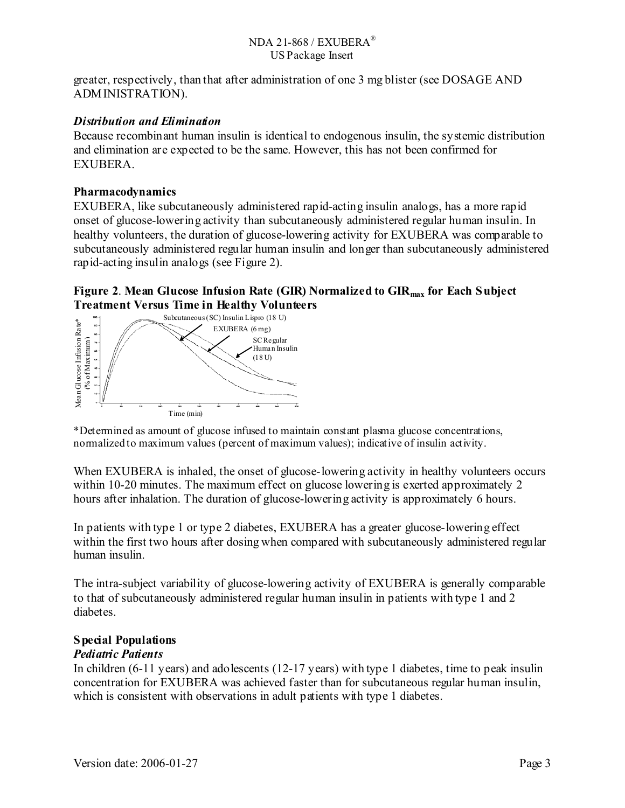greater, respectively, than that after administration of one 3 mg blister (see DOSAGE AND ADMINISTRATION).

## *Distribution and Elimination*

Because recombinant human insulin is identical to endogenous insulin, the systemic distribution and elimination are expected to be the same. However, this has not been confirmed for EXUBERA.

### **Pharmacodynamics**

EXUBERA, like subcutaneously administered rapid-acting insulin analogs, has a more rapid onset of glucose-lowering activity than subcutaneously administered regular human insulin. In healthy volunteers, the duration of glucose-lowering activity for EXUBERA was comparable to subcutaneously administered regular human insulin and longer than subcutaneously administered rapid-acting insulin analogs (see Figure 2).

### **Figure 2**. **Mean Glucose Infusion Rate (GIR) Normalized to GIRmax for Each Subject Treatment Versus Time in Healthy Volunteers**



\*Determined as amount of glucose infused to maintain constant plasma glucose concentrations, normalized to maximum values (percent of maximum values); indicative of insulin activity.

When EXUBERA is inhaled, the onset of glucose-lowering activity in healthy volunteers occurs within 10-20 minutes. The maximum effect on glucose lowering is exerted approximately 2 hours after inhalation. The duration of glucose-lowering activity is approximately 6 hours.

In patients with type 1 or type 2 diabetes, EXUBERA has a greater glucose-lowering effect within the first two hours after dosing when compared with subcutaneously administered regular human insulin.

The intra-subject variability of glucose-lowering activity of EXUBERA is generally comparable to that of subcutaneously administered regular human insulin in patients with type 1 and 2 diabetes.

## **Special Populations**

## *Pediatric Patients*

In children (6-11 years) and adolescents (12-17 years) with type 1 diabetes, time to peak insulin concentration for EXUBERA was achieved faster than for subcutaneous regular human insulin, which is consistent with observations in adult patients with type 1 diabetes.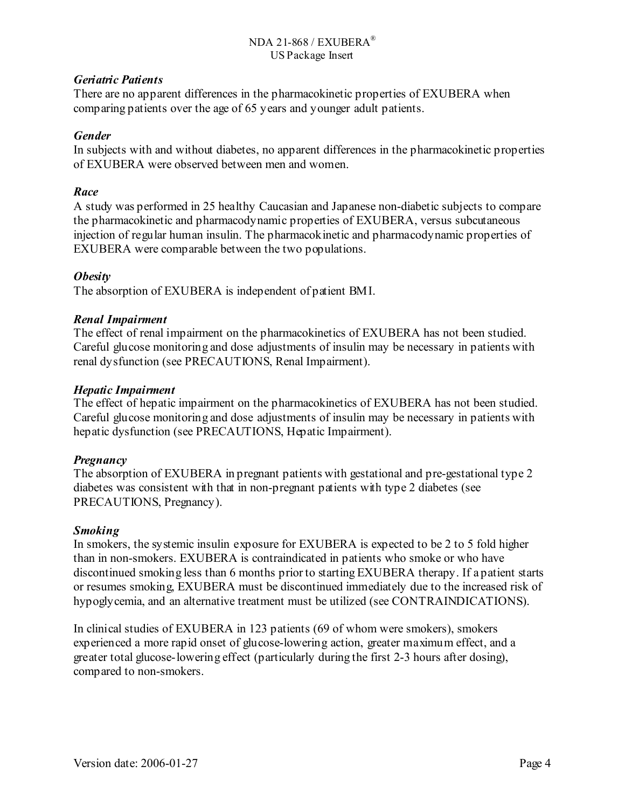## *Geriatric Patients*

There are no apparent differences in the pharmacokinetic properties of EXUBERA when comparing patients over the age of 65 years and younger adult patients.

## *Gender*

In subjects with and without diabetes, no apparent differences in the pharmacokinetic properties of EXUBERA were observed between men and women.

## *Race*

A study was performed in 25 healthy Caucasian and Japanese non-diabetic subjects to compare the pharmacokinetic and pharmacodynamic properties of EXUBERA, versus subcutaneous injection of regular human insulin. The pharmacokinetic and pharmacodynamic properties of EXUBERA were comparable between the two populations.

## *Obesity*

The absorption of EXUBERA is independent of patient BMI.

## *Renal Impairment*

The effect of renal impairment on the pharmacokinetics of EXUBERA has not been studied. Careful glucose monitoring and dose adjustments of insulin may be necessary in patients with renal dysfunction (see PRECAUTIONS, Renal Impairment).

## *Hepatic Impairment*

The effect of hepatic impairment on the pharmacokinetics of EXUBERA has not been studied. Careful glucose monitoring and dose adjustments of insulin may be necessary in patients with hepatic dysfunction (see PRECAUTIONS, Hepatic Impairment).

## *Pregnancy*

The absorption of EXUBERA in pregnant patients with gestational and pre-gestational type 2 diabetes was consistent with that in non-pregnant patients with type 2 diabetes (see PRECAUTIONS, Pregnancy).

## *Smoking*

In smokers, the systemic insulin exposure for EXUBERA is expected to be 2 to 5 fold higher than in non-smokers. EXUBERA is contraindicated in patients who smoke or who have discontinued smoking less than 6 months prior to starting EXUBERA therapy. If a patient starts or resumes smoking, EXUBERA must be discontinued immediately due to the increased risk of hypoglycemia, and an alternative treatment must be utilized (see CONTRAINDICATIONS).

In clinical studies of EXUBERA in 123 patients (69 of whom were smokers), smokers experienced a more rapid onset of glucose-lowering action, greater maximum effect, and a greater total glucose-lowering effect (particularly during the first 2-3 hours after dosing), compared to non-smokers.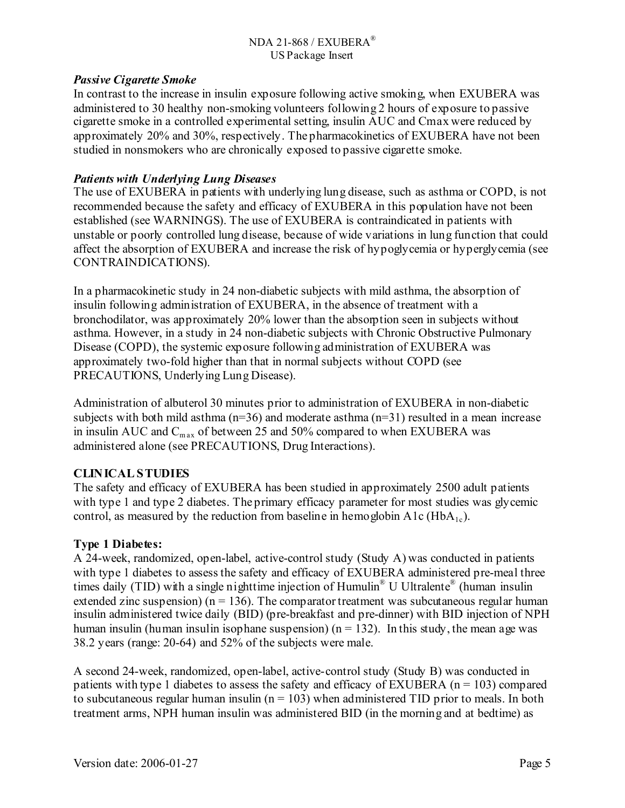### *Passive Cigarette Smoke*

In contrast to the increase in insulin exposure following active smoking, when EXUBERA was administered to 30 healthy non-smoking volunteers following 2 hours of exposure to passive cigarette smoke in a controlled experimental setting, insulin AUC and Cmax were reduced by approximately 20% and 30%, respectively. The pharmacokinetics of EXUBERA have not been studied in nonsmokers who are chronically exposed to passive cigarette smoke.

### *Patients with Underlying Lung Diseases*

The use of EXUBERA in patients with underlying lung disease, such as asthma or COPD, is not recommended because the safety and efficacy of EXUBERA in this population have not been established (see WARNINGS). The use of EXUBERA is contraindicated in patients with unstable or poorly controlled lung disease, because of wide variations in lung function that could affect the absorption of EXUBERA and increase the risk of hypoglycemia or hyperglycemia (see CONTRAINDICATIONS).

In a pharmacokinetic study in 24 non-diabetic subjects with mild asthma, the absorption of insulin following administration of EXUBERA, in the absence of treatment with a bronchodilator, was approximately 20% lower than the absorption seen in subjects without asthma. However, in a study in 24 non-diabetic subjects with Chronic Obstructive Pulmonary Disease (COPD), the systemic exposure following administration of EXUBERA was approximately two-fold higher than that in normal subjects without COPD (see PRECAUTIONS, Underlying Lung Disease).

Administration of albuterol 30 minutes prior to administration of EXUBERA in non-diabetic subjects with both mild asthma  $(n=36)$  and moderate asthma  $(n=31)$  resulted in a mean increase in insulin AUC and  $C_{\text{max}}$  of between 25 and 50% compared to when EXUBERA was administered alone (see PRECAUTIONS, Drug Interactions).

## **CLINICAL STUDIES**

The safety and efficacy of EXUBERA has been studied in approximately 2500 adult patients with type 1 and type 2 diabetes. The primary efficacy parameter for most studies was glycemic control, as measured by the reduction from baseline in hemoglobin  $A1c$  (HbA<sub>1c</sub>).

## **Type 1 Diabetes:**

A 24-week, randomized, open-label, active-control study (Study A) was conducted in patients with type 1 diabetes to assess the safety and efficacy of EXUBERA administered pre-meal three times daily (TID) with a single nighttime injection of Humulin® U Ultralente® (human insulin extended zinc suspension) ( $n = 136$ ). The comparator treatment was subcutaneous regular human insulin administered twice daily (BID) (pre-breakfast and pre-dinner) with BID injection of NPH human insulin (human insulin isophane suspension) ( $n = 132$ ). In this study, the mean age was 38.2 years (range: 20-64) and 52% of the subjects were male.

A second 24-week, randomized, open-label, active-control study (Study B) was conducted in patients with type 1 diabetes to assess the safety and efficacy of EXUBERA ( $n = 103$ ) compared to subcutaneous regular human insulin ( $n = 103$ ) when administered TID prior to meals. In both treatment arms, NPH human insulin was administered BID (in the morning and at bedtime) as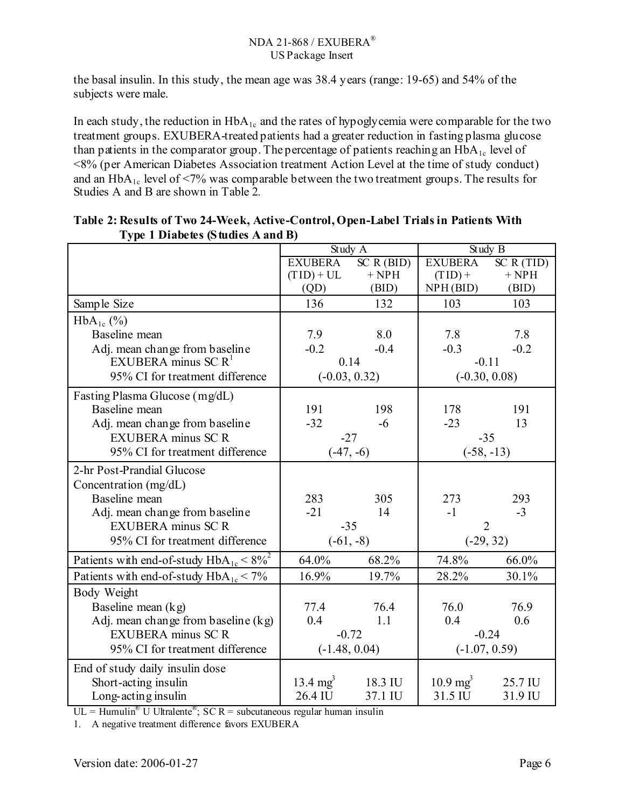the basal insulin. In this study, the mean age was 38.4 years (range: 19-65) and 54% of the subjects were male.

In each study, the reduction in  $HbA_{1c}$  and the rates of hypoglycemia were comparable for the two treatment groups. EXUBERA-treated patients had a greater reduction in fasting plasma glucose than patients in the comparator group. The percentage of patients reaching an HbA<sub>1c</sub> level of <8% (per American Diabetes Association treatment Action Level at the time of study conduct) and an  $HbA_{1c}$  level of <7% was comparable between the two treatment groups. The results for Studies A and B are shown in Table 2*.* 

|                                                 |                | Study A         |                     | Study B         |
|-------------------------------------------------|----------------|-----------------|---------------------|-----------------|
|                                                 | <b>EXUBERA</b> | SC R (BID)      | <b>EXUBERA</b>      | SC R (TID)      |
|                                                 | $(TID) + UL$   | $+$ NPH         | $(TID) +$           | $+$ NPH         |
|                                                 | (QD)           | (BID)           | NPH(BID)            | (BID)           |
| Sample Size                                     | 136            | 132             | 103                 | 103             |
| $HbA_{1c}$ (%)                                  |                |                 |                     |                 |
| Baseline mean                                   | 7.9            | 8.0             | 7.8                 | 7.8             |
| Adj. mean change from baseline                  | $-0.2$         | $-0.4$          | $-0.3$              | $-0.2$          |
| EXUBERA minus SC $R1$                           |                | 0.14            |                     | $-0.11$         |
| 95% CI for treatment difference                 |                | $(-0.03, 0.32)$ |                     | $(-0.30, 0.08)$ |
| Fasting Plasma Glucose (mg/dL)                  |                |                 |                     |                 |
| Baseline mean                                   | 191            | 198             | 178                 | 191             |
| Adj. mean change from baseline                  | $-32$          | $-6$            | $-23$               | 13              |
| <b>EXUBERA</b> minus SC R                       |                | $-27$           |                     | $-35$           |
| 95% CI for treatment difference                 | $(-47, -6)$    |                 | $(-58, -13)$        |                 |
| 2-hr Post-Prandial Glucose                      |                |                 |                     |                 |
| Concentration (mg/dL)                           |                |                 |                     |                 |
| Baseline mean                                   | 283            | 305             | 273                 | 293             |
| Adj. mean change from baseline                  | $-21$          | 14              | $-1$                | $-3$            |
| <b>EXUBERA</b> minus SC R                       |                | $-35$           |                     | $\overline{2}$  |
| 95% CI for treatment difference                 |                | $(-61, -8)$     |                     | $(-29, 32)$     |
| Patients with end-of-study $HbA_{1c} < 8\%^{2}$ | 64.0%          | 68.2%           | 74.8%               | 66.0%           |
| Patients with end-of-study $HbA_{1c}$ < 7%      | 16.9%          | 19.7%           | 28.2%               | 30.1%           |
| Body Weight                                     |                |                 |                     |                 |
| Baseline mean $(kg)$                            | 77.4           | 76.4            | 76.0                | 76.9            |
| Adj. mean change from baseline (kg)             | 0.4            | 1.1             | 0.4                 | 0.6             |
| <b>EXUBERA</b> minus SC R                       |                | $-0.72$         |                     | $-0.24$         |
| 95% CI for treatment difference                 |                | $(-1.48, 0.04)$ | $(-1.07, 0.59)$     |                 |
| End of study daily insulin dose                 |                |                 |                     |                 |
| Short-acting insulin                            | 13.4 $mg^3$    | 18.3 IU         | $10.9 \text{ mg}^3$ | 25.7 IU         |
| Long-acting insulin                             | 26.4 IU        | 37.1 IU         | 31.5 IU             | 31.9 IU         |

### **Table 2: Results of Two 24-Week, Active-Control, Open-Label Trials in Patients With Type 1 Diabetes (Studies A and B)**

 $UL = Humulin<sup>®</sup> U Utralente<sup>®</sup>; SC R = subcutaneous regular human insulin$ 

1. A negative treatment difference favors EXUBERA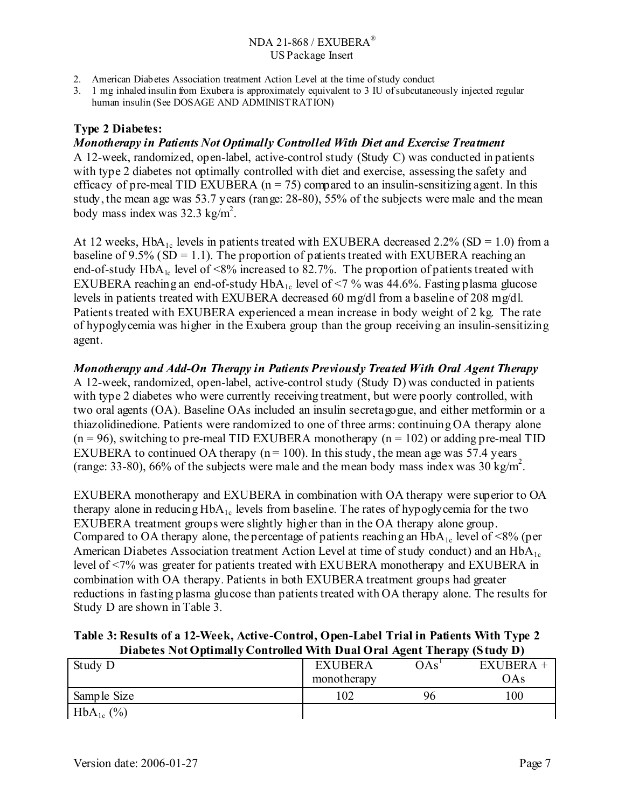- 2. American Diabetes Association treatment Action Level at the time of study conduct
- 3. 1 mg inhaled insulin from Exubera is approximately equivalent to 3 IU of subcutaneously injected regular human insulin (See DOSAGE AND ADMINISTRATION)

## **Type 2 Diabetes:**

### *Monotherapy in Patients Not Optimally Controlled With Diet and Exercise Treatment*

A 12-week, randomized, open-label, active-control study (Study C) was conducted in patients with type 2 diabetes not optimally controlled with diet and exercise, assessing the safety and efficacy of pre-meal TID EXUBERA ( $n = 75$ ) compared to an insulin-sensitizing agent. In this study, the mean age was 53.7 years (range: 28-80), 55% of the subjects were male and the mean body mass index was  $32.3 \text{ kg/m}^2$ .

At 12 weeks,  $HbA_{1c}$  levels in patients treated with EXUBERA decreased 2.2% (SD = 1.0) from a baseline of  $9.5\%$  (SD = 1.1). The proportion of patients treated with EXUBERA reaching an end-of-study  $HbA_{1c}$  level of <8% increased to 82.7%. The proportion of patients treated with EXUBERA reaching an end-of-study  $HbA_{1c}$  level of <7 % was 44.6%. Fasting plasma glucose levels in patients treated with EXUBERA decreased 60 mg/dl from a baseline of 208 mg/dl. Patients treated with EXUBERA experienced a mean increase in body weight of 2 kg. The rate of hypoglycemia was higher in the Exubera group than the group receiving an insulin-sensitizing agent.

*Monotherapy and Add-On Therapy in Patients Previously Treated With Oral Agent Therapy*  A 12-week, randomized, open-label, active-control study (Study D) was conducted in patients with type 2 diabetes who were currently receiving treatment, but were poorly controlled, with two oral agents (OA). Baseline OAs included an insulin secretagogue, and either metformin or a thiazolidinedione. Patients were randomized to one of three arms: continuing OA therapy alone

 $(n = 96)$ , switching to pre-meal TID EXUBERA monotherapy  $(n = 102)$  or adding pre-meal TID EXUBERA to continued OA therapy ( $n = 100$ ). In this study, the mean age was 57.4 years (range: 33-80), 66% of the subjects were male and the mean body mass index was  $30 \text{ kg/m}^2$ .

EXUBERA monotherapy and EXUBERA in combination with OA therapy were superior to OA therapy alone in reducing  $HbA_{1c}$  levels from baseline. The rates of hypoglycemia for the two EXUBERA treatment groups were slightly higher than in the OA therapy alone group. Compared to OA therapy alone, the percentage of patients reaching an  $HbA_{1c}$  level of <8% (per American Diabetes Association treatment Action Level at time of study conduct) and an  $HbA_{1c}$ level of <7% was greater for patients treated with EXUBERA monotherapy and EXUBERA in combination with OA therapy*.* Patients in both EXUBERA treatment groups had greater reductions in fasting plasma glucose than patients treated with OA therapy alone. The results for Study D are shown in Table 3.

**Table 3: Results of a 12-Week, Active-Control, Open-Label Trial in Patients With Type 2 Diabetes Not Optimally Controlled With Dual Oral Agent Therapy (Study D)**

|                |                |     | . .         |
|----------------|----------------|-----|-------------|
| Study D        | <b>EXUBERA</b> | OAs | $EXUBERA +$ |
|                | monotherapy    |     | OAs         |
| Sample Size    | 102            | 96  | 00          |
| $HbA_{1c}$ (%) |                |     |             |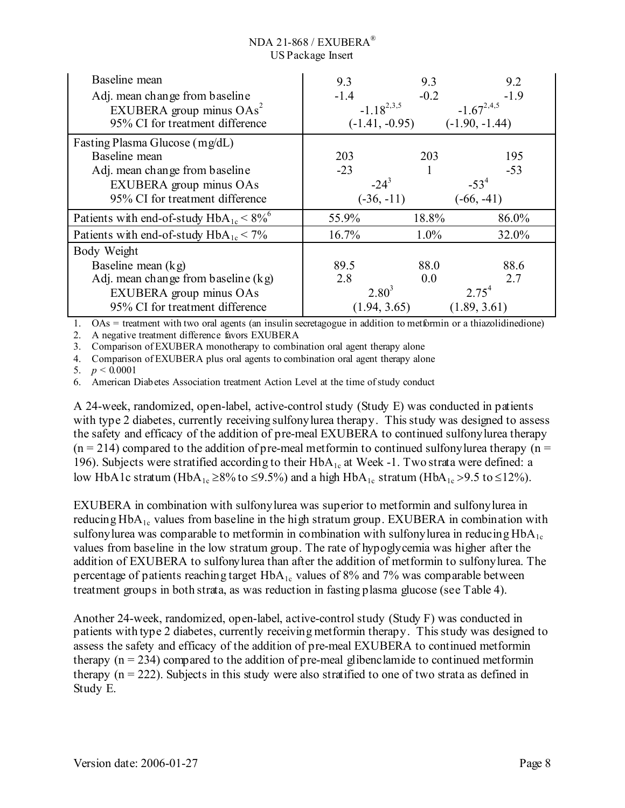| Baseline mean                                            | 9.3              | 9.3    | 9.2              |
|----------------------------------------------------------|------------------|--------|------------------|
| Adj. mean change from baseline                           | $-1.4$           | $-0.2$ | $-1.9$           |
| EXUBERA group minus $OAs^2$                              | $-1.18^{2,3,5}$  |        | $-1.67^{2,4,5}$  |
| 95% CI for treatment difference                          | $(-1.41, -0.95)$ |        | $(-1.90, -1.44)$ |
| Fasting Plasma Glucose (mg/dL)                           |                  |        |                  |
| Baseline mean                                            | 203              | 203    | 195              |
| Adj. mean change from baseline                           | $-23$            |        | $-53$            |
| EXUBERA group minus OAs                                  | $-24^{3}$        |        | $-53^{4}$        |
| 95% CI for treatment difference                          | $(-36, -11)$     |        | $(-66, -41)$     |
| Patients with end-of-study $HbA_{1c} < 8\%$ <sup>6</sup> | 55.9%            | 18.8%  | 86.0%            |
| Patients with end-of-study $HbA_{1c} < 7\%$              | 16.7%            | 1.0%   | 32.0%            |
| Body Weight                                              |                  |        |                  |
| Baseline mean $(kg)$                                     | 89.5             | 88.0   | 88.6             |
| Adj. mean change from baseline $(kg)$                    | 2.8              | 0.0    | 2.7              |
| EXUBERA group minus OAs                                  | $2.80^{3}$       |        | $2.75^{4}$       |
| 95% CI for treatment difference                          | (1.94, 3.65)     |        | (1.89, 3.61)     |

1. OAs = treatment with two oral agents (an insulin secretagogue in addition to metformin or a thiazolidinedione)

2. A negative treatment difference favors EXUBERA

3. Comparison of EXUBERA monotherapy to combination oral agent therapy alone

4. Comparison of EXUBERA plus oral agents to combination oral agent therapy alone

5.  $p < 0.0001$ 

6. American Diabetes Association treatment Action Level at the time of study conduct

A 24-week, randomized, open-label, active-control study (Study E) was conducted in patients with type 2 diabetes, currently receiving sulfonylurea therapy. This study was designed to assess the safety and efficacy of the addition of pre-meal EXUBERA to continued sulfonylurea therapy  $(n = 214)$  compared to the addition of pre-meal metformin to continued sulfonylurea therapy  $(n = 114)$ 196). Subjects were stratified according to their HbA<sub>1c</sub> at Week -1. Two strata were defined: a low HbA1c stratum (HbA<sub>1c</sub> ≥8% to ≤9.5%) and a high HbA<sub>1c</sub> stratum (HbA<sub>1c</sub> >9.5 to ≤12%).

EXUBERA in combination with sulfonylurea was superior to metformin and sulfonylurea in reducing  $HbA_{1c}$  values from baseline in the high stratum group. EXUBERA in combination with sulfonylurea was comparable to metformin in combination with sulfonylurea in reducing  $HbA_{1c}$ values from baseline in the low stratum group. The rate of hypoglycemia was higher after the addition of EXUBERA to sulfonylurea than after the addition of metformin to sulfonylurea. The percentage of patients reaching target  $HbA_{1c}$  values of 8% and 7% was comparable between treatment groups in both strata, as was reduction in fasting plasma glucose (see Table 4).

Another 24-week, randomized, open-label, active-control study (Study F) was conducted in patients with type 2 diabetes, currently receiving metformin therapy. This study was designed to assess the safety and efficacy of the addition of pre-meal EXUBERA to continued metformin therapy  $(n = 234)$  compared to the addition of pre-meal glibenclamide to continued metformin therapy  $(n = 222)$ . Subjects in this study were also stratified to one of two strata as defined in Study E.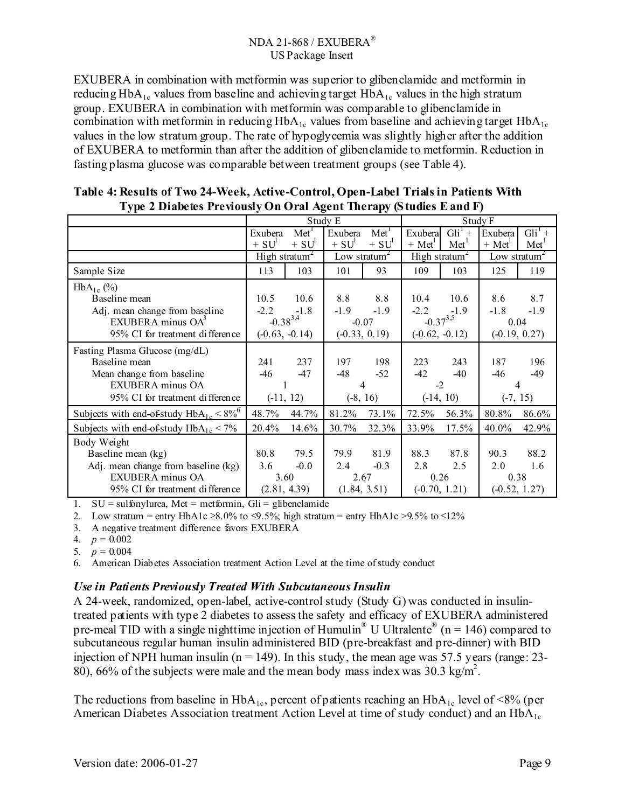EXUBERA in combination with metformin was superior to glibenclamide and metformin in reducing  $HbA_{1c}$  values from baseline and achieving target  $HbA_{1c}$  values in the high stratum group. EXUBERA in combination with metformin was comparable to glibenclamide in combination with metformin in reducing  $HbA_{1c}$  values from baseline and achieving target  $HbA_{1c}$ values in the low stratum group. The rate of hypoglycemia was slightly higher after the addition of EXUBERA to metformin than after the addition of glibenclamide to metformin. Reduction in fasting plasma glucose was comparable between treatment groups (see Table 4).

| ◡⊩                                          | ு∎ு<br>Study E |                           |                    |                 |                           |                             |                                          |                  |
|---------------------------------------------|----------------|---------------------------|--------------------|-----------------|---------------------------|-----------------------------|------------------------------------------|------------------|
|                                             |                |                           |                    |                 |                           |                             | Study F                                  |                  |
|                                             | Exubera        | Met <sup>1</sup>          | Exubera            | $Met\Gamma$     | Exubera                   | $\overline{\text{Gli}^1}$ + | Exubera                                  | $Gli1 +$         |
|                                             | $+ SU1$        | $+ SU1$                   | $+ SU1$            | $+ SU1$         | $+ Met1$                  | Met <sup>1</sup>            | $+ Met1$                                 | Met <sup>T</sup> |
|                                             |                | High stratum <sup>2</sup> | Low stratum $\sim$ |                 | High stratum <sup>2</sup> |                             | Low stratum <sup><math>\sim</math></sup> |                  |
| Sample Size                                 | 113            | 103                       | 101                | 93              | 109                       | 103                         | 125                                      | 119              |
| $HbA_{1c}$ (%)                              |                |                           |                    |                 |                           |                             |                                          |                  |
| Baseline mean                               | 10.5           | 10.6                      | 8.8                | 8.8             | 10.4                      | 10.6                        | 8.6                                      | 8.7              |
| Adj. mean change from baseline              | $-2.2$         | $-1.8$                    | $-1.9$             | $-1.9$          | $-2.2$                    | $-1.9$                      | $-1.8$                                   | $-1.9$           |
| EXUBERA minus OA <sup>3</sup>               |                | $-0.38^{3,4}$             | $-0.07$            |                 | $-0.37^{3.5}$             |                             | 0.04                                     |                  |
| 95% CI for treatment difference             |                | $(-0.63, -0.14)$          |                    | $(-0.33, 0.19)$ | $(-0.62, -0.12)$          |                             |                                          | $(-0.19, 0.27)$  |
| Fasting Plasma Glucose (mg/dL)              |                |                           |                    |                 |                           |                             |                                          |                  |
| Baseline mean                               | 241            | 237                       | 197                | 198             | 223                       | 243                         | 187                                      | 196              |
| Mean change from baseline                   | -46            | $-47$                     | -48                | $-52$           | $-42$                     | $-40$                       | $-46$                                    | $-49$            |
| <b>EXUBERA</b> minus OA                     |                |                           |                    | 4               | $-2$                      |                             |                                          | 4                |
| 95% CI for treatment difference             |                | $(-11, 12)$               |                    | $(-8, 16)$      |                           | $(-14, 10)$                 |                                          | $(-7, 15)$       |
| Subjects with end-of-study $HbA_{1c} < 8\%$ | 48.7%          | 44.7%                     | 81.2%              | 73.1%           | 72.5%                     | 56.3%                       | 80.8%                                    | 86.6%            |
| Subjects with end-of-study $HbA_{1c} < 7\%$ | 20.4%          | 14.6%                     | 30.7%              | 32.3%           | 33.9%                     | 17.5%                       | $40.0\%$                                 | 42.9%            |
| Body Weight                                 |                |                           |                    |                 |                           |                             |                                          |                  |
| Baseline mean (kg)                          | 80.8           | 79.5                      | 79.9               | 81.9            | 88.3                      | 87.8                        | 90.3                                     | 88.2             |
| Adj. mean change from baseline (kg)         | 3.6            | $-0.0$                    | 2.4                | $-0.3$          | 2.8                       | 2.5                         | 2.0                                      | 1.6              |
| EXUBERA minus OA                            |                | 3.60                      | 2.67               |                 | 0.26                      |                             | 0.38                                     |                  |
| 95% CI for treatment difference             |                | (2.81, 4.39)              |                    | (1.84, 3.51)    |                           | $(-0.70, 1.21)$             |                                          | $(-0.52, 1.27)$  |

| Table 4: Results of Two 24-Week, Active-Control, Open-Label Trials in Patients With |
|-------------------------------------------------------------------------------------|
| Type 2 Diabetes Previously On Oral Agent Therapy (Studies E and F)                  |

1.  $SU =$  sulfonylurea, Met = metformin, Gli = glibenclamide

2. Low stratum = entry HbA1c ≥8.0% to ≤9.5%; high stratum = entry HbA1c >9.5% to ≤12%

3. A negative treatment difference favors EXUBERA

4.  $p = 0.002$ 

5.  $p = 0.004$ 

6. American Diabetes Association treatment Action Level at the time of study conduct

### *Use in Patients Previously Treated With Subcutaneous Insulin*

A 24-week, randomized, open-label, active-control study (Study G) was conducted in insulintreated patients with type 2 diabetes to assess the safety and efficacy of EXUBERA administered pre-meal TID with a single nighttime injection of Humulin<sup>®</sup> U Ultralente<sup>®</sup> (n = 146) compared to subcutaneous regular human insulin administered BID (pre-breakfast and pre-dinner) with BID injection of NPH human insulin ( $n = 149$ ). In this study, the mean age was 57.5 years (range: 23-80), 66% of the subjects were male and the mean body mass index was 30.3 kg/m<sup>2</sup>.

The reductions from baseline in  $HbA_{1c}$ , percent of patients reaching an  $HbA_{1c}$  level of <8% (per American Diabetes Association treatment Action Level at time of study conduct) and an  $HbA_{1c}$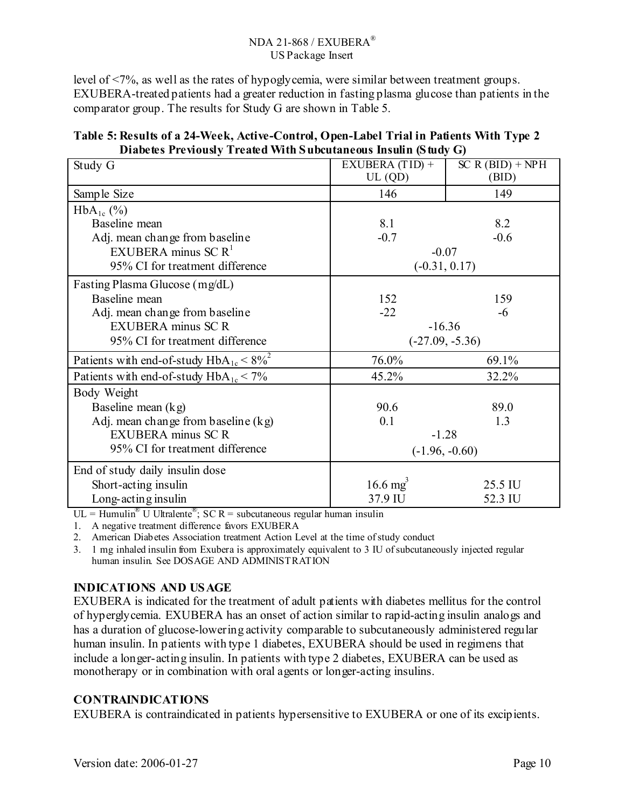level of <7%, as well as the rates of hypoglycemia, were similar between treatment groups. EXUBERA-treated patients had a greater reduction in fasting plasma glucose than patients in the comparator group. The results for Study G are shown in Table 5.

| Study G                                         | EXUBERA (TID) +     | $SC R (BID) + NPH$ |
|-------------------------------------------------|---------------------|--------------------|
|                                                 | UL(QD)              | (BID)              |
| Sample Size                                     | 146                 | 149                |
| $HbA_{1c}$ (%)                                  |                     |                    |
| Baseline mean                                   | 8.1                 | 8.2                |
| Adj. mean change from baseline                  | $-0.7$              | $-0.6$             |
| EXUBERA minus SC $R1$                           | $-0.07$             |                    |
| 95% CI for treatment difference                 |                     | $(-0.31, 0.17)$    |
| Fasting Plasma Glucose (mg/dL)                  |                     |                    |
| Baseline mean                                   | 152                 | 159                |
| Adj. mean change from baseline                  | $-22$               | -6                 |
| <b>EXUBERA</b> minus SC R                       | $-16.36$            |                    |
| 95% CI for treatment difference                 |                     | $(-27.09, -5.36)$  |
| Patients with end-of-study $HbA_{1c} < 8\%^{2}$ | 76.0%               | 69.1%              |
| Patients with end-of-study $HbA_{1c}$ < 7%      | 45.2%               | 32.2%              |
| Body Weight                                     |                     |                    |
| Baseline mean $(kg)$                            | 90.6                | 89.0               |
| Adj. mean change from baseline (kg)             | 0.1                 | 1.3                |
| <b>EXUBERA</b> minus SC R                       | $-1.28$             |                    |
| 95% CI for treatment difference                 | $(-1.96, -0.60)$    |                    |
| End of study daily insulin dose                 |                     |                    |
| Short-acting insulin                            | $16.6 \text{ mg}^3$ | 25.5 IU            |
| Long-acting insulin                             | 37.9 IU             | 52.3 IU            |

| Table 5: Results of a 24-Week, Active-Control, Open-Label Trial in Patients With Type 2 |  |
|-----------------------------------------------------------------------------------------|--|
| Diabetes Previously Treated With Subcutaneous Insulin (Study G)                         |  |

 $UL =$  Humulin<sup>®</sup> U Ultralente<sup>®</sup>; SC R = subcutaneous regular human insulin

1. A negative treatment difference favors EXUBERA

2. American Diabetes Association treatment Action Level at the time of study conduct

3. 1 mg inhaled insulin from Exubera is approximately equivalent to 3 IU of subcutaneously injected regular human insulin. See DOSAGE AND ADMINISTRATION

## **INDICATIONS AND USAGE**

EXUBERA is indicated for the treatment of adult patients with diabetes mellitus for the control of hyperglycemia. EXUBERA has an onset of action similar to rapid-acting insulin analogs and has a duration of glucose-lowering activity comparable to subcutaneously administered regular human insulin. In patients with type 1 diabetes, EXUBERA should be used in regimens that include a longer-acting insulin. In patients with type 2 diabetes, EXUBERA can be used as monotherapy or in combination with oral agents or longer-acting insulins.

### **CONTRAINDICATIONS**

EXUBERA is contraindicated in patients hypersensitive to EXUBERA or one of its excipients.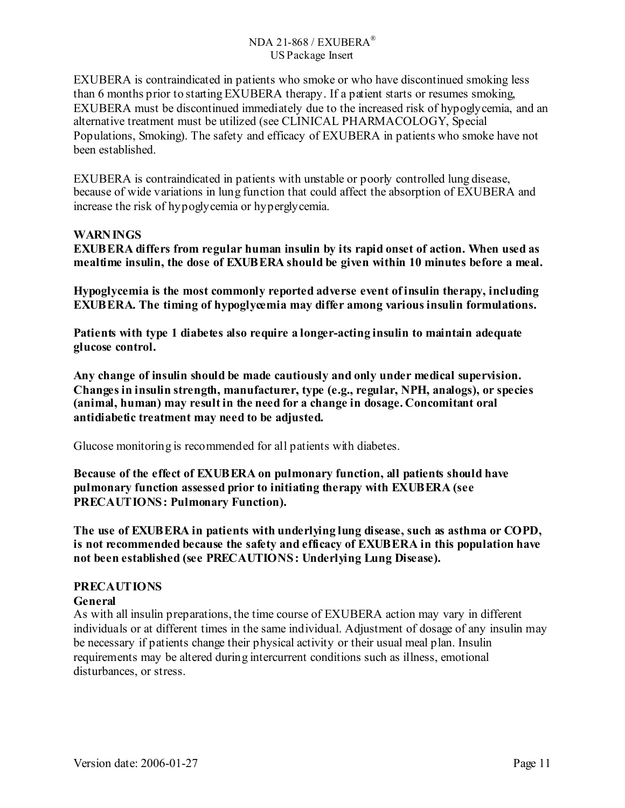EXUBERA is contraindicated in patients who smoke or who have discontinued smoking less than 6 months prior to starting EXUBERA therapy. If a patient starts or resumes smoking, EXUBERA must be discontinued immediately due to the increased risk of hypoglycemia, and an alternative treatment must be utilized (see CLINICAL PHARMACOLOGY, Special Populations, Smoking). The safety and efficacy of EXUBERA in patients who smoke have not been established.

EXUBERA is contraindicated in patients with unstable or poorly controlled lung disease, because of wide variations in lung function that could affect the absorption of EXUBERA and increase the risk of hypoglycemia or hyperglycemia.

### **WARNINGS**

**EXUBERA differs from regular human insulin by its rapid onset of action. When used as mealtime insulin, the dose of EXUBERA should be given within 10 minutes before a meal.** 

**Hypoglycemia is the most commonly reported adverse event of insulin therapy, including EXUBERA. The timing of hypoglycemia may differ among various insulin formulations.** 

**Patients with type 1 diabetes also require a longer-acting insulin to maintain adequate glucose control.** 

**Any change of insulin should be made cautiously and only under medical supervision. Changes in insulin strength, manufacturer, type (e.g., regular, NPH, analogs), or species (animal, human) may result in the need for a change in dosage. Concomitant oral antidiabetic treatment may need to be adjusted.** 

Glucose monitoring is recommended for all patients with diabetes.

**Because of the effect of EXUBERA on pulmonary function, all patients should have pulmonary function assessed prior to initiating therapy with EXUBERA (see PRECAUTIONS: Pulmonary Function).** 

**The use of EXUBERA in patients with underlying lung disease, such as asthma or COPD, is not recommended because the safety and efficacy of EXUBERA in this population have not been established (see PRECAUTIONS: Underlying Lung Disease).** 

### **PRECAUTIONS**

### **General**

As with all insulin preparations, the time course of EXUBERA action may vary in different individuals or at different times in the same individual. Adjustment of dosage of any insulin may be necessary if patients change their physical activity or their usual meal plan. Insulin requirements may be altered during intercurrent conditions such as illness, emotional disturbances, or stress.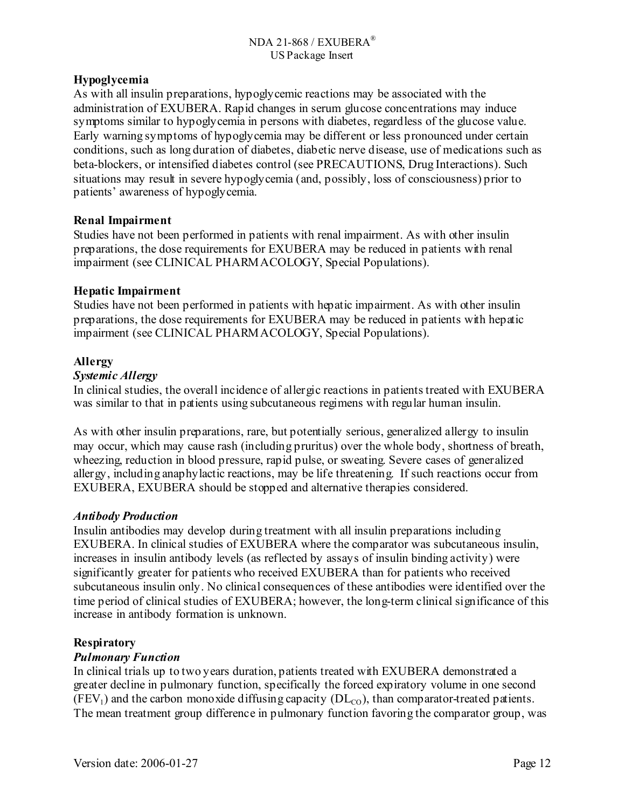## **Hypoglycemia**

As with all insulin preparations, hypoglycemic reactions may be associated with the administration of EXUBERA. Rapid changes in serum glucose concentrations may induce symptoms similar to hypoglycemia in persons with diabetes, regardless of the glucose value. Early warning symptoms of hypoglycemia may be different or less pronounced under certain conditions, such as long duration of diabetes, diabetic nerve disease, use of medications such as beta-blockers, or intensified diabetes control (see PRECAUTIONS, Drug Interactions). Such situations may result in severe hypoglycemia (and, possibly, loss of consciousness) prior to patients' awareness of hypoglycemia.

## **Renal Impairment**

Studies have not been performed in patients with renal impairment. As with other insulin preparations, the dose requirements for EXUBERA may be reduced in patients with renal impairment (see CLINICAL PHARMACOLOGY, Special Populations).

## **Hepatic Impairment**

Studies have not been performed in patients with hepatic impairment. As with other insulin preparations, the dose requirements for EXUBERA may be reduced in patients with hepatic impairment (see CLINICAL PHARMACOLOGY, Special Populations).

## **Allergy**

## *Systemic Allergy*

In clinical studies, the overall incidence of allergic reactions in patients treated with EXUBERA was similar to that in patients using subcutaneous regimens with regular human insulin.

As with other insulin preparations, rare, but potentially serious, generalized allergy to insulin may occur, which may cause rash (including pruritus) over the whole body, shortness of breath, wheezing, reduction in blood pressure, rapid pulse, or sweating. Severe cases of generalized allergy, including anaphylactic reactions, may be life threatening. If such reactions occur from EXUBERA, EXUBERA should be stopped and alternative therapies considered.

## *Antibody Production*

Insulin antibodies may develop during treatment with all insulin preparations including EXUBERA. In clinical studies of EXUBERA where the comparator was subcutaneous insulin, increases in insulin antibody levels (as reflected by assays of insulin binding activity) were significantly greater for patients who received EXUBERA than for patients who received subcutaneous insulin only. No clinical consequences of these antibodies were identified over the time period of clinical studies of EXUBERA; however, the long-term clinical significance of this increase in antibody formation is unknown.

## **Respiratory**

## *Pulmonary Function*

In clinical trials up to two years duration, patients treated with EXUBERA demonstrated a greater decline in pulmonary function, specifically the forced expiratory volume in one second  $(FEV_1)$  and the carbon monoxide diffusing capacity  $(DL_{CO})$ , than comparator-treated patients. The mean treatment group difference in pulmonary function favoring the comparator group, was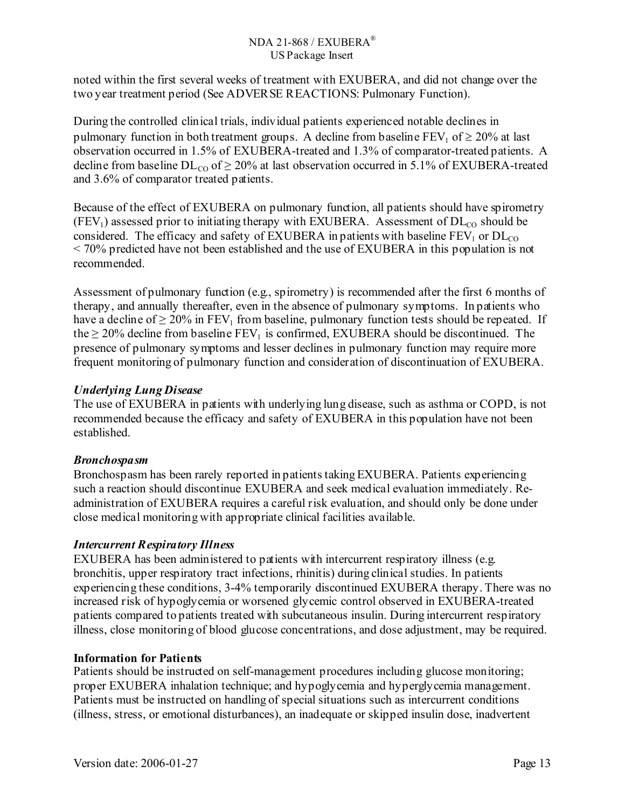noted within the first several weeks of treatment with EXUBERA, and did not change over the two year treatment period (See ADVERSE REACTIONS: Pulmonary Function).

During the controlled clinical trials, individual patients experienced notable declines in pulmonary function in both treatment groups. A decline from baseline  $FEV_1$  of  $\geq 20\%$  at last observation occurred in 1.5% of EXUBERA-treated and 1.3% of comparator-treated patients. A decline from baseline  $DL_{CO}$  of  $> 20\%$  at last observation occurred in 5.1% of EXUBERA-treated and 3.6% of comparator treated patients.

Because of the effect of EXUBERA on pulmonary function, all patients should have spirometry  $(FEV<sub>1</sub>)$  assessed prior to initiating therapy with EXUBERA. Assessment of  $DL<sub>CO</sub>$  should be considered. The efficacy and safety of EXUBERA in patients with baseline  $FEV<sub>1</sub>$  or  $DL<sub>CO</sub>$ < 70% predicted have not been established and the use of EXUBERA in this population is not recommended.

Assessment of pulmonary function (e.g., spirometry) is recommended after the first 6 months of therapy, and annually thereafter, even in the absence of pulmonary symptoms. In patients who have a decline of  $\geq 20\%$  in FEV<sub>1</sub> from baseline, pulmonary function tests should be repeated. If the  $\geq$  20% decline from baseline FEV<sub>1</sub> is confirmed, EXUBERA should be discontinued. The presence of pulmonary symptoms and lesser declines in pulmonary function may require more frequent monitoring of pulmonary function and consideration of discontinuation of EXUBERA.

## *Underlying Lung Disease*

The use of EXUBERA in patients with underlying lung disease, such as asthma or COPD, is not recommended because the efficacy and safety of EXUBERA in this population have not been established.

# *Bronchospasm*

Bronchospasm has been rarely reported in patients taking EXUBERA. Patients experiencing such a reaction should discontinue EXUBERA and seek medical evaluation immediately. Readministration of EXUBERA requires a careful risk evaluation, and should only be done under close medical monitoring with appropriate clinical facilities available.

# *Intercurrent Respiratory Illness*

EXUBERA has been administered to patients with intercurrent respiratory illness (e.g. bronchitis, upper respiratory tract infections, rhinitis) during clinical studies. In patients experiencing these conditions, 3-4% temporarily discontinued EXUBERA therapy. There was no increased risk of hypoglycemia or worsened glycemic control observed in EXUBERA-treated patients compared to patients treated with subcutaneous insulin. During intercurrent respiratory illness, close monitoring of blood glucose concentrations, and dose adjustment, may be required.

# **Information for Patients**

Patients should be instructed on self-management procedures including glucose monitoring; proper EXUBERA inhalation technique; and hypoglycemia and hyperglycemia management. Patients must be instructed on handling of special situations such as intercurrent conditions (illness, stress, or emotional disturbances), an inadequate or skipped insulin dose, inadvertent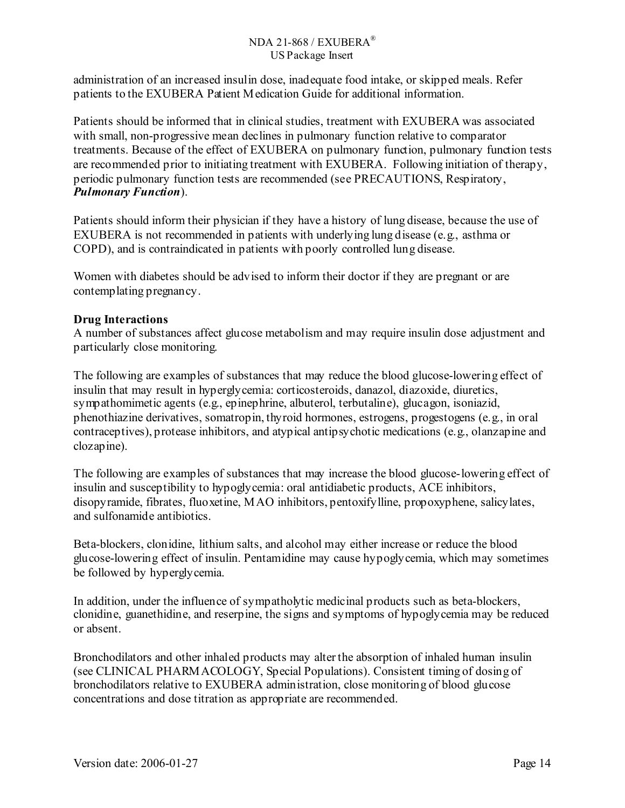administration of an increased insulin dose, inadequate food intake, or skipped meals. Refer patients to the EXUBERA Patient Medication Guide for additional information.

Patients should be informed that in clinical studies, treatment with EXUBERA was associated with small, non-progressive mean declines in pulmonary function relative to comparator treatments. Because of the effect of EXUBERA on pulmonary function, pulmonary function tests are recommended prior to initiating treatment with EXUBERA. Following initiation of therapy, periodic pulmonary function tests are recommended (see PRECAUTIONS, Respiratory, *Pulmonary Function*).

Patients should inform their physician if they have a history of lung disease, because the use of EXUBERA is not recommended in patients with underlying lung disease (e.g., asthma or COPD), and is contraindicated in patients with poorly controlled lung disease.

Women with diabetes should be advised to inform their doctor if they are pregnant or are contemplating pregnancy.

## **Drug Interactions**

A number of substances affect glucose metabolism and may require insulin dose adjustment and particularly close monitoring.

The following are examples of substances that may reduce the blood glucose-lowering effect of insulin that may result in hyperglycemia: corticosteroids, danazol, diazoxide, diuretics, sympathomimetic agents (e.g., epinephrine, albuterol, terbutaline), glucagon, isoniazid, phenothiazine derivatives, somatropin, thyroid hormones, estrogens, progestogens (e.g., in oral contraceptives), protease inhibitors, and atypical antipsychotic medications (e.g., olanzapine and clozapine).

The following are examples of substances that may increase the blood glucose-lowering effect of insulin and susceptibility to hypoglycemia: oral antidiabetic products, ACE inhibitors, disopyramide, fibrates, fluoxetine, MAO inhibitors, pentoxifylline, propoxyphene, salicylates, and sulfonamide antibiotics.

Beta-blockers, clonidine, lithium salts, and alcohol may either increase or reduce the blood glucose-lowering effect of insulin. Pentamidine may cause hypoglycemia, which may sometimes be followed by hyperglycemia.

In addition, under the influence of sympatholytic medicinal products such as beta-blockers, clonidine, guanethidine, and reserpine, the signs and symptoms of hypoglycemia may be reduced or absent.

Bronchodilators and other inhaled products may alter the absorption of inhaled human insulin (see CLINICAL PHARMACOLOGY, Special Populations). Consistent timing of dosing of bronchodilators relative to EXUBERA administration, close monitoring of blood glucose concentrations and dose titration as appropriate are recommended.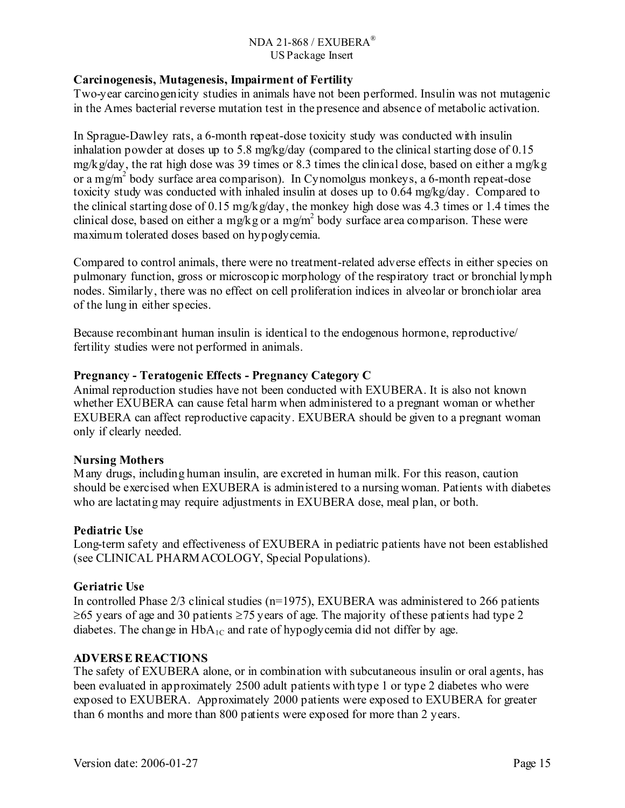### **Carcinogenesis, Mutagenesis, Impairment of Fertility**

Two-year carcinogenicity studies in animals have not been performed. Insulin was not mutagenic in the Ames bacterial reverse mutation test in the presence and absence of metabolic activation.

In Sprague-Dawley rats, a 6-month repeat-dose toxicity study was conducted with insulin inhalation powder at doses up to 5.8 mg/kg/day (compared to the clinical starting dose of 0.15 mg/kg/day, the rat high dose was 39 times or 8.3 times the clinical dose, based on either a mg/kg or a mg/m<sup>2</sup> body surface area comparison). In Cynomolgus monkeys, a 6-month repeat-dose toxicity study was conducted with inhaled insulin at doses up to 0.64 mg/kg/day. Compared to the clinical starting dose of 0.15 mg/kg/day, the monkey high dose was 4.3 times or 1.4 times the clinical dose, based on either a mg/kg or a mg/m<sup>2</sup> body surface area comparison. These were maximum tolerated doses based on hypoglycemia.

Compared to control animals, there were no treatment-related adverse effects in either species on pulmonary function, gross or microscopic morphology of the respiratory tract or bronchial lymph nodes. Similarly, there was no effect on cell proliferation indices in alveolar or bronchiolar area of the lung in either species.

Because recombinant human insulin is identical to the endogenous hormone, reproductive/ fertility studies were not performed in animals.

### **Pregnancy - Teratogenic Effects - Pregnancy Category C**

Animal reproduction studies have not been conducted with EXUBERA. It is also not known whether EXUBERA can cause fetal harm when administered to a pregnant woman or whether EXUBERA can affect reproductive capacity. EXUBERA should be given to a pregnant woman only if clearly needed.

## **Nursing Mothers**

Many drugs, including human insulin, are excreted in human milk. For this reason, caution should be exercised when EXUBERA is administered to a nursing woman. Patients with diabetes who are lactating may require adjustments in EXUBERA dose, meal plan, or both.

### **Pediatric Use**

Long-term safety and effectiveness of EXUBERA in pediatric patients have not been established (see CLINICAL PHARMACOLOGY, Special Populations).

## **Geriatric Use**

In controlled Phase 2/3 clinical studies (n=1975), EXUBERA was administered to 266 patients  $\geq$ 65 years of age and 30 patients  $\geq$ 75 years of age. The majority of these patients had type 2 diabetes. The change in  $HbA_{1C}$  and rate of hypoglycemia did not differ by age.

### **ADVERSE REACTIONS**

The safety of EXUBERA alone, or in combination with subcutaneous insulin or oral agents, has been evaluated in approximately 2500 adult patients with type 1 or type 2 diabetes who were exposed to EXUBERA. Approximately 2000 patients were exposed to EXUBERA for greater than 6 months and more than 800 patients were exposed for more than 2 years.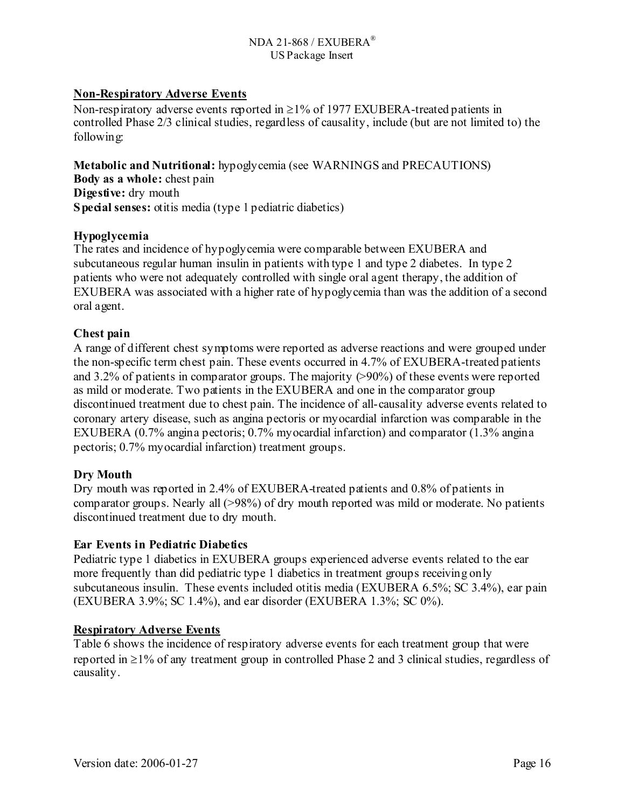## **Non-Respiratory Adverse Events**

Non-respiratory adverse events reported in  $\geq$ 1% of 1977 EXUBERA-treated patients in controlled Phase 2/3 clinical studies, regardless of causality, include (but are not limited to) the following:

**Metabolic and Nutritional:** hypoglycemia (see WARNINGS and PRECAUTIONS) **Body as a whole:** chest pain **Digestive:** dry mouth **Special senses:** otitis media (type 1 pediatric diabetics)

### **Hypoglycemia**

The rates and incidence of hypoglycemia were comparable between EXUBERA and subcutaneous regular human insulin in patients with type 1 and type 2 diabetes. In type 2 patients who were not adequately controlled with single oral agent therapy, the addition of EXUBERA was associated with a higher rate of hypoglycemia than was the addition of a second oral agent.

### **Chest pain**

A range of different chest symptoms were reported as adverse reactions and were grouped under the non-specific term chest pain. These events occurred in 4.7% of EXUBERA-treated patients and 3.2% of patients in comparator groups. The majority (>90%) of these events were reported as mild or moderate. Two patients in the EXUBERA and one in the comparator group discontinued treatment due to chest pain. The incidence of all-causality adverse events related to coronary artery disease, such as angina pectoris or myocardial infarction was comparable in the EXUBERA (0.7% angina pectoris; 0.7% myocardial infarction) and comparator (1.3% angina pectoris; 0.7% myocardial infarction) treatment groups.

## **Dry Mouth**

Dry mouth was reported in 2.4% of EXUBERA-treated patients and 0.8% of patients in comparator groups. Nearly all (>98%) of dry mouth reported was mild or moderate. No patients discontinued treatment due to dry mouth.

### **Ear Events in Pediatric Diabetics**

Pediatric type 1 diabetics in EXUBERA groups experienced adverse events related to the ear more frequently than did pediatric type 1 diabetics in treatment groups receiving only subcutaneous insulin. These events included otitis media (EXUBERA 6.5%; SC 3.4%), ear pain (EXUBERA 3.9%; SC 1.4%), and ear disorder (EXUBERA 1.3%; SC 0%).

### **Respiratory Adverse Events**

Table 6 shows the incidence of respiratory adverse events for each treatment group that were reported in ≥1% of any treatment group in controlled Phase 2 and 3 clinical studies, regardless of causality.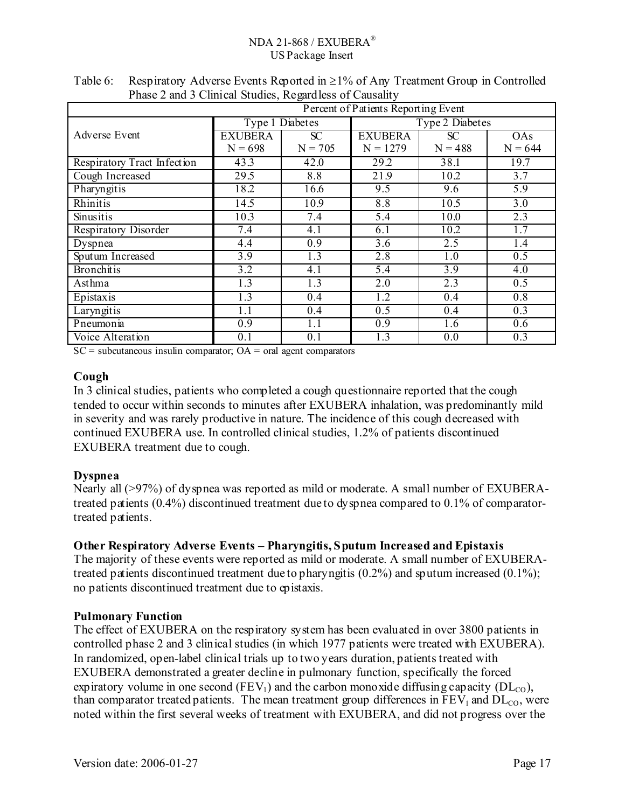| Percent of Patients Reporting Event |                   |                  |                  |                        |                  |  |
|-------------------------------------|-------------------|------------------|------------------|------------------------|------------------|--|
|                                     | Type 1 Diabetes   |                  |                  | <b>Type 2 Diabetes</b> |                  |  |
| Adverse Event                       | <b>EXUBERA</b>    | SC               | <b>EXUBERA</b>   | SC                     | OAs              |  |
|                                     | $N = 698$         | $N = 705$        | $N = 1279$       | $N = 488$              | $N = 644$        |  |
| Respiratory Tract Infection         | 43.3              | 42.0             | 29.2             | 38.1                   | 19.7             |  |
| Cough Increased                     | $\overline{29.5}$ | 8.8              | 21.9             | 10.2                   | $\overline{3.7}$ |  |
| Pharyngitis                         | 18.2              | 16.6             | 9.5              | 9.6                    | 5.9              |  |
| Rhinitis                            | 14.5              | 10.9             | 8.8              | 10.5                   | 3.0              |  |
| Sinusitis                           | 10.3              | 7.4              | 5.4              | 10.0                   | $\overline{2.3}$ |  |
| Respiratory Disorder                | 7.4               | 4.1              | 6.1              | 10.2                   | 1.7              |  |
| Dyspnea                             | 4.4               | $\overline{0.9}$ | $\overline{3.6}$ | 2.5                    | 1.4              |  |
| Sputum Increased                    | $\overline{3.9}$  | 1.3              | 2.8              | 1.0                    | $\overline{0.5}$ |  |
| <b>Bronchitis</b>                   | $\overline{3.2}$  | 4.1              | $\overline{5.4}$ | $\overline{3.9}$       | $\overline{4.0}$ |  |
| Asthma                              | 1.3               | 1.3              | 2.0              | 2.3                    | 0.5              |  |
| Epistaxis                           | 1.3               | 0.4              | 1.2              | 0.4                    | $\overline{0.8}$ |  |
| Laryngitis                          | 1.1               | 0.4              | 0.5              | 0.4                    | 0.3              |  |
| Pneumonia                           | 0.9               | 1.1              | 0.9              | 1.6                    | 0.6              |  |
| Voice Alteration                    | 0.1               | 0.1              | 1.3              | $\overline{0.0}$       | $\overline{0.3}$ |  |

Table 6: Respiratory Adverse Events Reported in  $\geq 1\%$  of Any Treatment Group in Controlled Phase 2 and 3 Clinical Studies, Regardless of Causality

 $SC = subcutaneous insulin comparator$ ;  $OA = oral agent comparators$ 

### **Cough**

In 3 clinical studies, patients who completed a cough questionnaire reported that the cough tended to occur within seconds to minutes after EXUBERA inhalation, was predominantly mild in severity and was rarely productive in nature. The incidence of this cough decreased with continued EXUBERA use. In controlled clinical studies, 1.2% of patients discontinued EXUBERA treatment due to cough.

## **Dyspnea**

Nearly all (>97%) of dyspnea was reported as mild or moderate. A small number of EXUBERAtreated patients (0.4%) discontinued treatment due to dyspnea compared to 0.1% of comparatortreated patients.

## **Other Respiratory Adverse Events – Pharyngitis, Sputum Increased and Epistaxis**

The majority of these events were reported as mild or moderate. A small number of EXUBERAtreated patients discontinued treatment due to pharyngitis (0.2%) and sputum increased (0.1%); no patients discontinued treatment due to epistaxis.

## **Pulmonary Function**

The effect of EXUBERA on the respiratory system has been evaluated in over 3800 patients in controlled phase 2 and 3 clinical studies (in which 1977 patients were treated with EXUBERA). In randomized, open-label clinical trials up to two years duration, patients treated with EXUBERA demonstrated a greater decline in pulmonary function, specifically the forced expiratory volume in one second (FEV<sub>1</sub>) and the carbon monoxide diffusing capacity (DL<sub>co</sub>), than comparator treated patients. The mean treatment group differences in  $\overline{FEV}_1$  and  $\overline{DL_{CO}}$ , were noted within the first several weeks of treatment with EXUBERA, and did not progress over the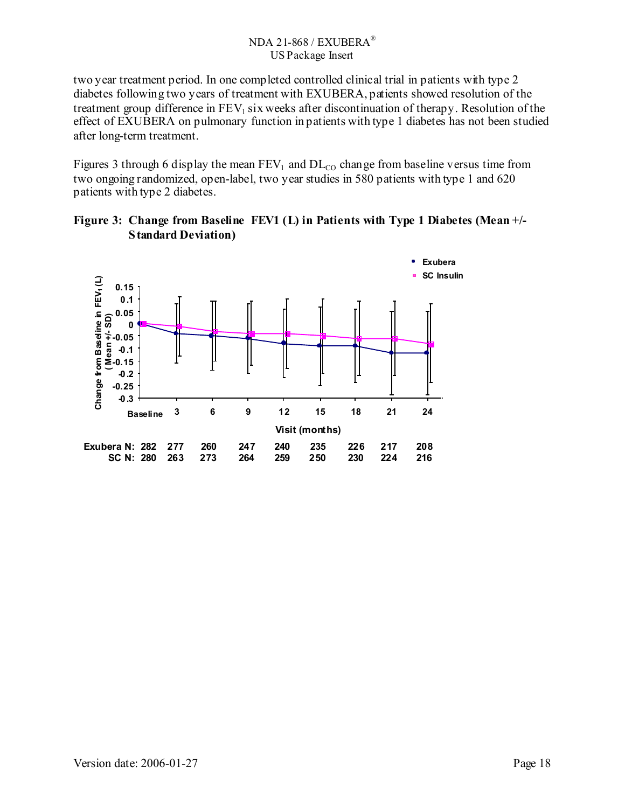two year treatment period. In one completed controlled clinical trial in patients with type 2 diabetes following two years of treatment with EXUBERA, patients showed resolution of the treatment group difference in  $FEV_1$  six weeks after discontinuation of therapy. Resolution of the effect of EXUBERA on pulmonary function in patients with type 1 diabetes has not been studied after long-term treatment.

Figures 3 through 6 display the mean  $FEV_1$  and  $DL_{CO}$  change from baseline versus time from two ongoing randomized, open-label, two year studies in 580 patients with type 1 and 620 patients with type 2 diabetes.

**Figure 3: Change from Baseline FEV1 (L) in Patients with Type 1 Diabetes (Mean +/- Standard Deviation)** 

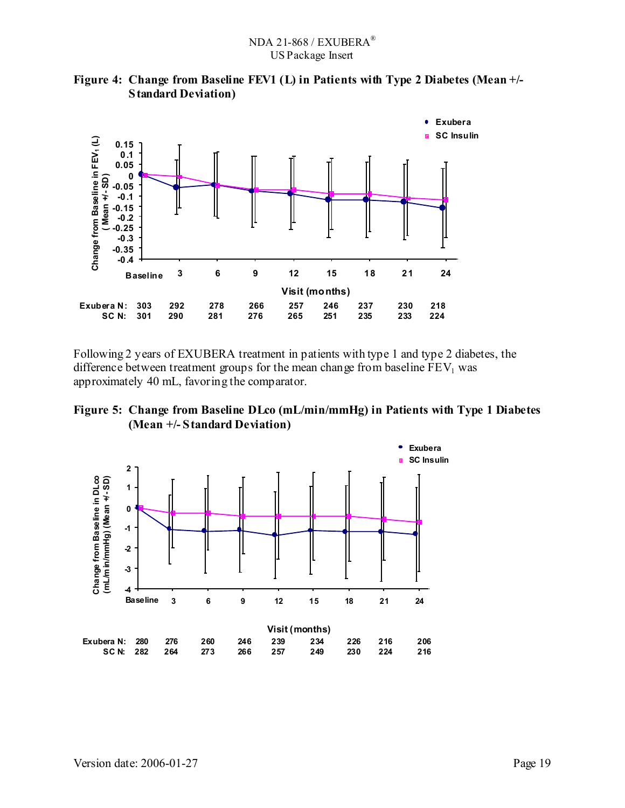

**Figure 4: Change from Baseline FEV1 (L) in Patients with Type 2 Diabetes (Mean +/- Standard Deviation)** 

Following 2 years of EXUBERA treatment in patients with type 1 and type 2 diabetes, the difference between treatment groups for the mean change from baseline  $FEV<sub>1</sub>$  was approximately 40 mL, favoring the comparator.



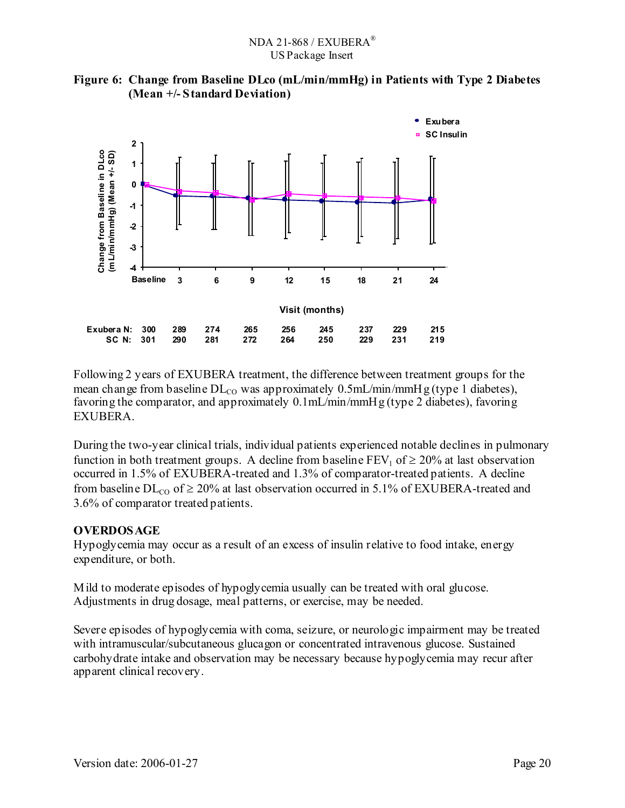



Following 2 years of EXUBERA treatment, the difference between treatment groups for the mean change from baseline  $DL_{CO}$  was approximately 0.5mL/min/mmHg (type 1 diabetes), favoring the comparator, and approximately 0.1mL/min/mmHg (type 2 diabetes), favoring EXUBERA.

During the two-year clinical trials, individual patients experienced notable declines in pulmonary function in both treatment groups. A decline from baseline  $FEV_1$  of  $\geq 20\%$  at last observation occurred in 1.5% of EXUBERA-treated and 1.3% of comparator-treated patients. A decline from baseline  $DL_{CO}$  of  $\geq 20\%$  at last observation occurred in 5.1% of EXUBERA-treated and 3.6% of comparator treated patients.

## **OVERDOSAGE**

Hypoglycemia may occur as a result of an excess of insulin relative to food intake, energy expenditure, or both.

Mild to moderate episodes of hypoglycemia usually can be treated with oral glucose. Adjustments in drug dosage, meal patterns, or exercise, may be needed.

Severe episodes of hypoglycemia with coma, seizure, or neurologic impairment may be treated with intramuscular/subcutaneous glucagon or concentrated intravenous glucose. Sustained carbohydrate intake and observation may be necessary because hypoglycemia may recur after apparent clinical recovery.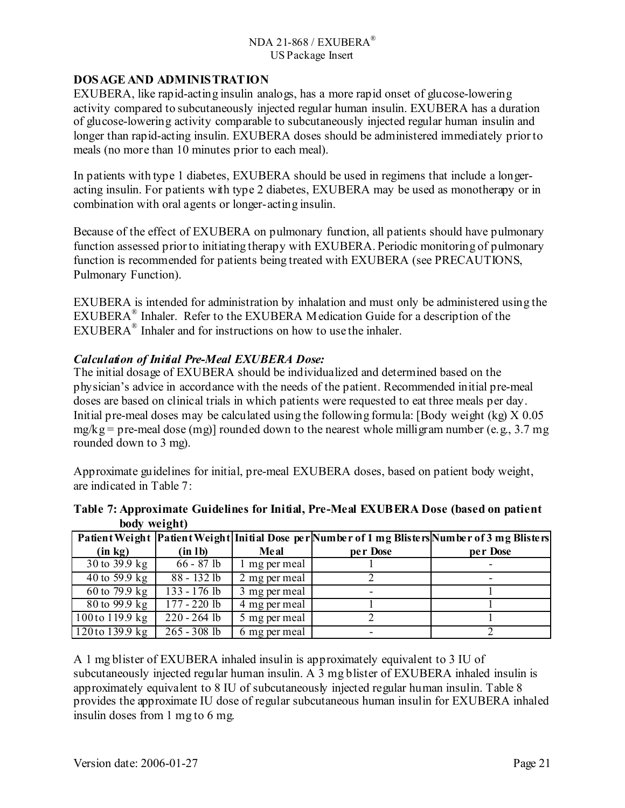### **DOSAGE AND ADMINISTRATION**

EXUBERA, like rapid-acting insulin analogs, has a more rapid onset of glucose-lowering activity compared to subcutaneously injected regular human insulin. EXUBERA has a duration of glucose-lowering activity comparable to subcutaneously injected regular human insulin and longer than rapid-acting insulin. EXUBERA doses should be administered immediately prior to meals (no more than 10 minutes prior to each meal).

In patients with type 1 diabetes, EXUBERA should be used in regimens that include a longeracting insulin. For patients with type 2 diabetes, EXUBERA may be used as monotherapy or in combination with oral agents or longer-acting insulin.

Because of the effect of EXUBERA on pulmonary function, all patients should have pulmonary function assessed prior to initiating therapy with EXUBERA. Periodic monitoring of pulmonary function is recommended for patients being treated with EXUBERA (see PRECAUTIONS, Pulmonary Function).

EXUBERA is intended for administration by inhalation and must only be administered using the EXUBERA® Inhaler. Refer to the EXUBERA Medication Guide for a description of the EXUBERA® Inhaler and for instructions on how to use the inhaler.

### *Calculation of Initial Pre-Meal EXUBERA Dose:*

The initial dosage of EXUBERA should be individualized and determined based on the physician's advice in accordance with the needs of the patient. Recommended initial pre-meal doses are based on clinical trials in which patients were requested to eat three meals per day. Initial pre-meal doses may be calculated using the following formula: [Body weight (kg) X 0.05  $mg/kg = pre$ -meal dose (mg)] rounded down to the nearest whole milligram number (e.g., 3.7 mg) rounded down to 3 mg).

Approximate guidelines for initial, pre-meal EXUBERA doses, based on patient body weight, are indicated in Table 7:

| <b>DUUY MUILIILI</b> |                          |               |          |                                                                                                   |
|----------------------|--------------------------|---------------|----------|---------------------------------------------------------------------------------------------------|
|                      |                          |               |          | Patient Weight   Patient Weight  Initial Dose per Number of 1 mg Blisters Number of 3 mg Blisters |
| (in kg)              | (in lb)                  | <b>Me al</b>  | per Dose | per Dose                                                                                          |
| 30 to 39.9 kg        | $66 - 87$ lb             | mg per meal   |          |                                                                                                   |
| 40 to 59.9 kg        | 88 - 132 lb              | 2 mg per meal |          |                                                                                                   |
| 60 to 79.9 kg        | $133 - 176$ lb           | 3 mg per meal | -        |                                                                                                   |
| 80 to 99.9 kg        | $\frac{177 - 220}{1}$ lb | 4 mg per meal |          |                                                                                                   |
| 100to 119.9 kg       | $220 - 264$ lb           | 5 mg per meal |          |                                                                                                   |
| 120to 139.9 kg       | $265 - 308$ lb           | 6 mg per meal |          |                                                                                                   |

### **Table 7: Approximate Guidelines for Initial, Pre-Meal EXUBERA Dose (based on patient body weight)**

A 1 mg blister of EXUBERA inhaled insulin is approximately equivalent to 3 IU of subcutaneously injected regular human insulin. A 3 mg blister of EXUBERA inhaled insulin is approximately equivalent to 8 IU of subcutaneously injected regular human insulin. Table 8 provides the approximate IU dose of regular subcutaneous human insulin for EXUBERA inhaled insulin doses from 1 mg to 6 mg.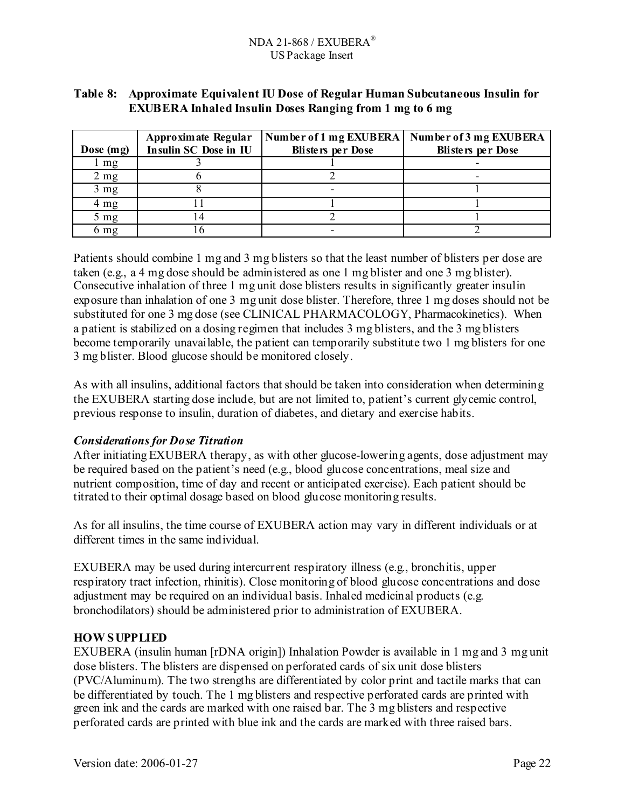## **Table 8: Approximate Equivalent IU Dose of Regular Human Subcutaneous Insulin for EXUBERA Inhaled Insulin Doses Ranging from 1 mg to 6 mg**

|                | Approximate Regular   | Number of 1 mg EXUBERA   | Number of 3 mg EXUBERA   |
|----------------|-----------------------|--------------------------|--------------------------|
| Dose $(mg)$    | Insulin SC Dose in IU | <b>Blisters per Dose</b> | <b>Blisters per Dose</b> |
| l mg           |                       |                          |                          |
| $2 \text{ mg}$ |                       |                          |                          |
| $3 \text{ mg}$ |                       |                          |                          |
| 4 mg           |                       |                          |                          |
| 5 mg           | 4                     |                          |                          |
| 6 mg           |                       |                          |                          |

Patients should combine 1 mg and 3 mg blisters so that the least number of blisters per dose are taken (e.g., a 4 mg dose should be administered as one 1 mg blister and one 3 mg blister). Consecutive inhalation of three 1 mg unit dose blisters results in significantly greater insulin exposure than inhalation of one 3 mg unit dose blister. Therefore, three 1 mg doses should not be substituted for one 3 mg dose (see CLINICAL PHARMACOLOGY, Pharmacokinetics). When a patient is stabilized on a dosing regimen that includes 3 mg blisters, and the 3 mg blisters become temporarily unavailable, the patient can temporarily substitute two 1 mg blisters for one 3 mg blister. Blood glucose should be monitored closely.

As with all insulins, additional factors that should be taken into consideration when determining the EXUBERA starting dose include, but are not limited to, patient's current glycemic control, previous response to insulin, duration of diabetes, and dietary and exercise habits.

## *Considerations for Dose Titration*

After initiating EXUBERA therapy, as with other glucose-lowering agents, dose adjustment may be required based on the patient's need (e.g., blood glucose concentrations, meal size and nutrient composition, time of day and recent or anticipated exercise). Each patient should be titrated to their optimal dosage based on blood glucose monitoring results.

As for all insulins, the time course of EXUBERA action may vary in different individuals or at different times in the same individual.

EXUBERA may be used during intercurrent respiratory illness (e.g., bronchitis, upper respiratory tract infection, rhinitis). Close monitoring of blood glucose concentrations and dose adjustment may be required on an individual basis. Inhaled medicinal products (e.g. bronchodilators) should be administered prior to administration of EXUBERA.

## **HOW SUPPLIED**

EXUBERA (insulin human [rDNA origin]) Inhalation Powder is available in 1 mg and 3 mg unit dose blisters. The blisters are dispensed on perforated cards of six unit dose blisters (PVC/Aluminum). The two strengths are differentiated by color print and tactile marks that can be differentiated by touch. The 1 mg blisters and respective perforated cards are printed with green ink and the cards are marked with one raised bar. The 3 mg blisters and respective perforated cards are printed with blue ink and the cards are marked with three raised bars.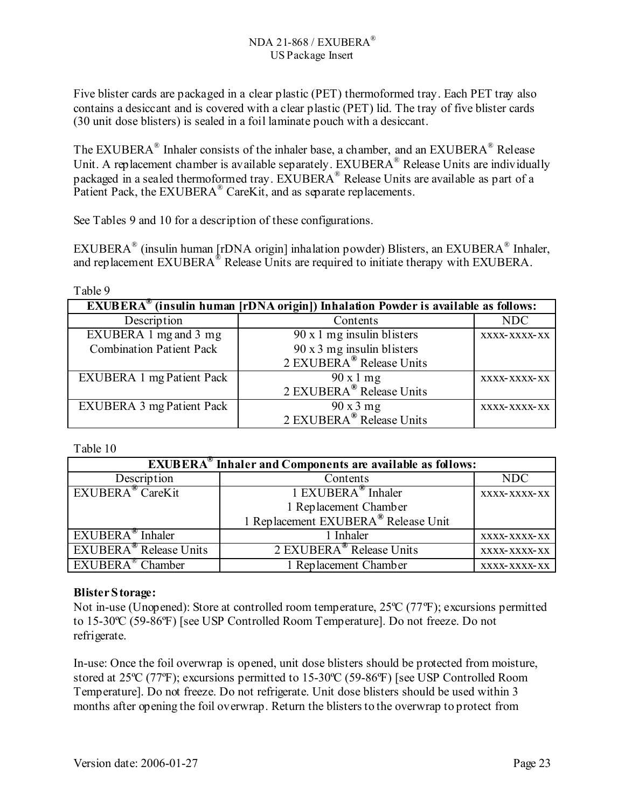Five blister cards are packaged in a clear plastic (PET) thermoformed tray. Each PET tray also contains a desiccant and is covered with a clear plastic (PET) lid. The tray of five blister cards (30 unit dose blisters) is sealed in a foil laminate pouch with a desiccant.

The EXUBERA® Inhaler consists of the inhaler base, a chamber, and an EXUBERA® Release Unit. A replacement chamber is available separately. EXUBERA<sup>®</sup> Release Units are individually packaged in a sealed thermoformed tray. EXUBERA® Release Units are available as part of a Patient Pack, the EXUBERA<sup>®</sup> CareKit, and as separate replacements.

See Tables 9 and 10 for a description of these configurations.

EXUBERA® (insulin human [rDNA origin] inhalation powder) Blisters, an EXUBERA® Inhaler, and replacement EXUBERA<sup>®</sup> Release Units are required to initiate therapy with EXUBERA.

| Table 9                                                                                                       |                                                        |              |  |  |  |  |
|---------------------------------------------------------------------------------------------------------------|--------------------------------------------------------|--------------|--|--|--|--|
| $\overline{\text{EXUBERA}}^{\omega}$ (insulin human [rDNA origin]) Inhalation Powder is available as follows: |                                                        |              |  |  |  |  |
| Description                                                                                                   | Contents                                               | NDC          |  |  |  |  |
| EXUBERA 1 mg and 3 mg                                                                                         | $90 \times 1$ mg insulin blisters                      | XXXX-XXXX-XX |  |  |  |  |
| <b>Combination Patient Pack</b>                                                                               | 90 x 3 mg insulin blisters<br>2 EXUBERA® Release Units |              |  |  |  |  |
|                                                                                                               |                                                        |              |  |  |  |  |
| <b>EXUBERA 1 mg Patient Pack</b>                                                                              | 90 x 1 mg                                              | XXXX-XXXX-XX |  |  |  |  |
|                                                                                                               | 2 EXUBERA <sup>®</sup> Release Units                   |              |  |  |  |  |
| <b>EXUBERA 3 mg Patient Pack</b>                                                                              | 90x3mg                                                 | XXXX-XXXX-XX |  |  |  |  |
|                                                                                                               | 2 EXUBERA <sup>®</sup> Release Units                   |              |  |  |  |  |

Table 10

| <b>EXUBERA<sup>®</sup></b> Inhaler and Components are available as follows: |                                                              |              |
|-----------------------------------------------------------------------------|--------------------------------------------------------------|--------------|
| Description                                                                 | Contents                                                     | NDC          |
| EXUBERA <sup>®</sup> CareKit                                                | 1 EXUBERA <sup>®</sup> Inhaler                               | XXXX-XXXX-XX |
|                                                                             | 1 Replacement Chamber<br>1 Replacement EXUBERA® Release Unit |              |
|                                                                             |                                                              |              |
| $EXUBERA^{\omega}$ Inhaler                                                  | 1 Inhaler                                                    | XXXX-XXXX-XX |
| <b>EXUBERA</b> <sup>®</sup> Release Units                                   | 2 EXUBERA <sup>®</sup> Release Units                         | XXXX-XXXX-XX |
| $EXUBERA^{\otimes}$ Chamber                                                 | 1 Replacement Chamber                                        | XXXX-XXXX-XX |

## **Blister Storage:**

Not in-use (Unopened): Store at controlled room temperature, 25<sup>o</sup>C (77<sup>o</sup>F); excursions permitted to 15-30ºC (59-86ºF) [see USP Controlled Room Temperature]. Do not freeze. Do not refrigerate.

In-use: Once the foil overwrap is opened, unit dose blisters should be protected from moisture, stored at 25ºC (77ºF); excursions permitted to 15-30ºC (59-86ºF) [see USP Controlled Room Temperature]. Do not freeze. Do not refrigerate. Unit dose blisters should be used within 3 months after opening the foil overwrap. Return the blisters to the overwrap to protect from